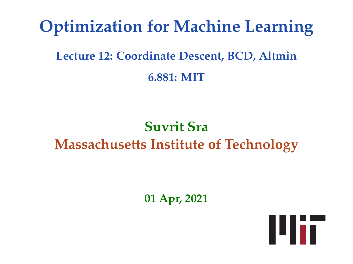## **Optimization for Machine Learning**

### **Lecture 12: Coordinate Descent, BCD, Altmin 6.881: MIT**

### **Suvrit Sra Massachusetts Institute of Technology**

**01 Apr, 2021**

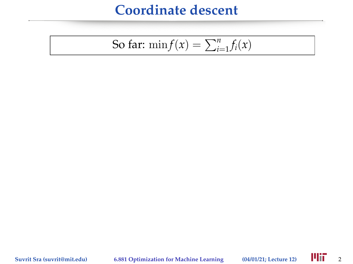So far: 
$$
\min f(x) = \sum_{i=1}^{n} f_i(x)
$$

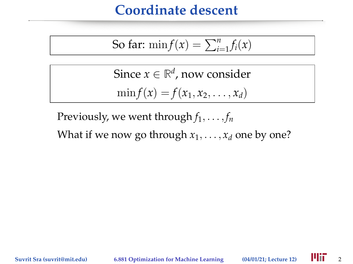So far: 
$$
\min f(x) = \sum_{i=1}^{n} f_i(x)
$$

Since  $x \in \mathbb{R}^d$ , now consider  $\min f(x) = f(x_1, x_2, \ldots, x_d)$ 

Previously, we went through  $f_1, \ldots, f_n$ 

What if we now go through  $x_1, \ldots, x_d$  one by one?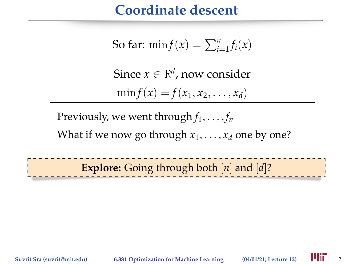So far: 
$$
\min f(x) = \sum_{i=1}^{n} f_i(x)
$$

Since  $x \in \mathbb{R}^d$ , now consider  $\min f(x) = f(x_1, x_2, \ldots, x_d)$ 

Previously, we went through  $f_1, \ldots, f_n$ 

What if we now go through  $x_1, \ldots, x_d$  one by one?

**Explore:** Going through both [*n*] and [*d*]?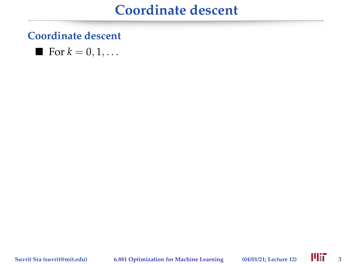#### **Coordinate descent**

$$
\blacksquare
$$
 For  $k = 0, 1, \ldots$ 

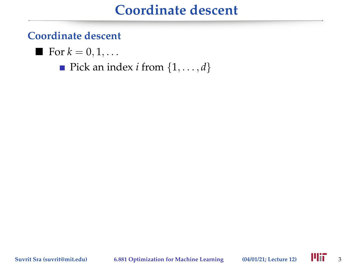#### **Coordinate descent**

$$
\blacksquare
$$
 For  $k = 0, 1, \ldots$ 

Pick an index *i* from  $\{1, \ldots, d\}$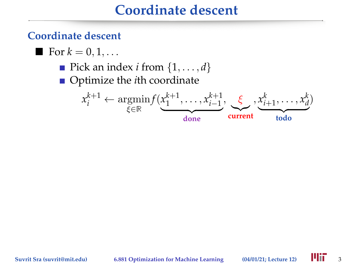#### **Coordinate descent**

\n- For 
$$
k = 0, 1, \ldots
$$
\n- Pick an index  $i$  from  $\{1, \ldots, d\}$
\n- Optimize the  $i$ th coordinate
\n- $x_i^{k+1} \leftarrow \operatorname*{argmin}_{\xi \in \mathbb{R}} f(\underbrace{x_1^{k+1}, \ldots, x_{i-1}^{k+1}}_{\text{done}}, \underbrace{\xi}_{\text{current}}, \underbrace{x_{i+1}^k, \ldots, x_d^k}_{\text{todo}})$
\n

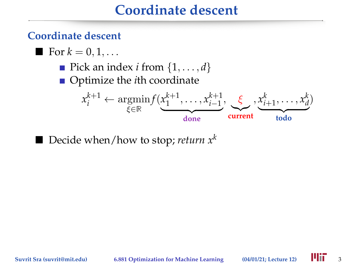#### **Coordinate descent**

\n- For 
$$
k = 0, 1, \ldots
$$
\n- Pick an index *i* from  $\{1, \ldots, d\}$
\n- Optimize the *i*th coordinate
\n- $x_i^{k+1} \leftarrow \operatorname*{argmin}_{\xi \in \mathbb{R}} f(\underbrace{x_1^{k+1}, \ldots, x_{i-1}^{k+1}}_{\text{done}}, \underbrace{\xi}_{\text{current}}, \underbrace{x_{i+1}^k, \ldots, x_d^k}_{\text{todo}})$
\n

■ Decide when/how to stop; *return*  $x^k$ 

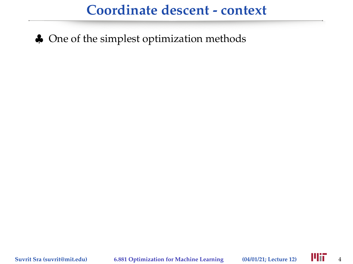♣ One of the simplest optimization methods

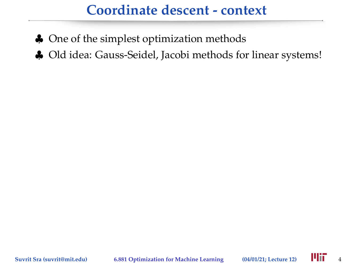- ♣ One of the simplest optimization methods
- ♣ Old idea: Gauss-Seidel, Jacobi methods for linear systems!

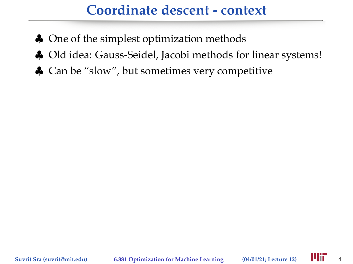- ♣ One of the simplest optimization methods
- ♣ Old idea: Gauss-Seidel, Jacobi methods for linear systems!
- ♣ Can be "slow", but sometimes very competitive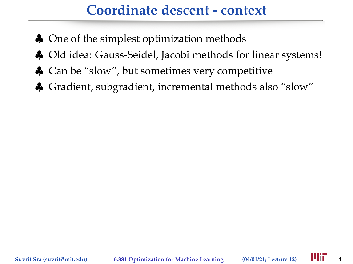- ♣ One of the simplest optimization methods
- ♣ Old idea: Gauss-Seidel, Jacobi methods for linear systems!
- ♣ Can be "slow", but sometimes very competitive
- ♣ Gradient, subgradient, incremental methods also "slow"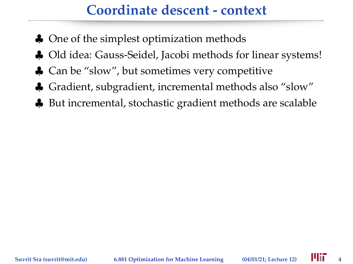- ♣ One of the simplest optimization methods
- ♣ Old idea: Gauss-Seidel, Jacobi methods for linear systems!
- ♣ Can be "slow", but sometimes very competitive
- ♣ Gradient, subgradient, incremental methods also "slow"
- ♣ But incremental, stochastic gradient methods are scalable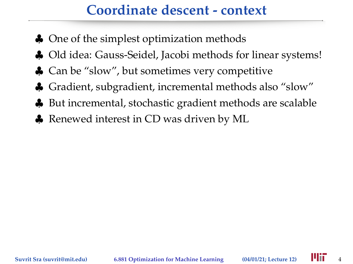- ♣ One of the simplest optimization methods
- ♣ Old idea: Gauss-Seidel, Jacobi methods for linear systems!
- ♣ Can be "slow", but sometimes very competitive
- ♣ Gradient, subgradient, incremental methods also "slow"
- ♣ But incremental, stochastic gradient methods are scalable
- ♣ Renewed interest in CD was driven by ML

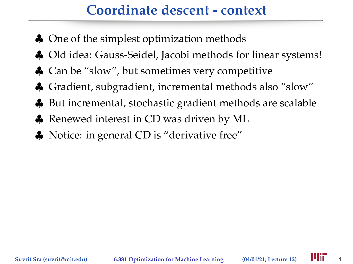- ♣ One of the simplest optimization methods
- ♣ Old idea: Gauss-Seidel, Jacobi methods for linear systems!
- ♣ Can be "slow", but sometimes very competitive
- ♣ Gradient, subgradient, incremental methods also "slow"
- ♣ But incremental, stochastic gradient methods are scalable
- ♣ Renewed interest in CD was driven by ML
- ♣ Notice: in general CD is "derivative free"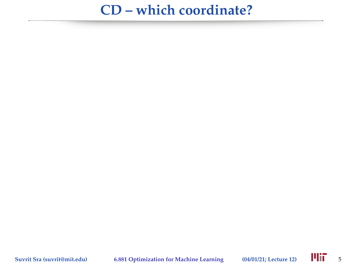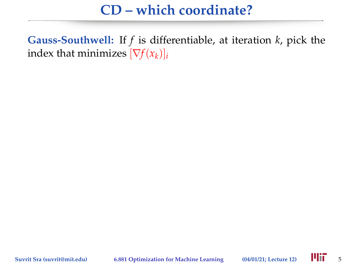**Gauss-Southwell:** If *f* is differentiable, at iteration *k*, pick the index that minimizes  $[\nabla f(x_k)]_i$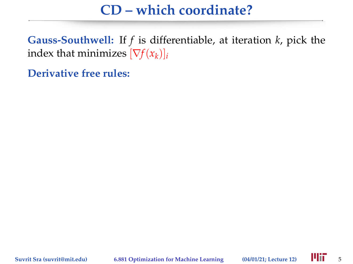**Gauss-Southwell:** If *f* is differentiable, at iteration *k*, pick the index that minimizes  $[\nabla f(x_k)]_i$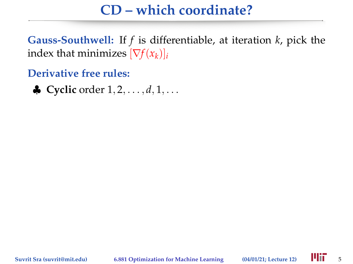**Gauss-Southwell:** If *f* is differentiable, at iteration *k*, pick the index that minimizes  $[\nabla f(x_k)]_i$ 

**Derivative free rules:**

♦ **Cyclic** order  $1, 2, ..., d, 1, ...$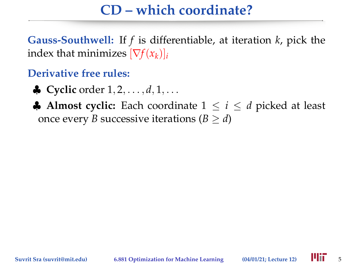**Gauss-Southwell:** If *f* is differentiable, at iteration *k*, pick the index that minimizes  $[\nabla f(x_k)]_i$ 

- ♣ **Cyclic** order 1, 2, . . . , *d*, 1, . . .
- **♣ Almost cyclic:** Each coordinate  $1 \le i \le d$  picked at least once every *B* successive iterations ( $B \ge d$ )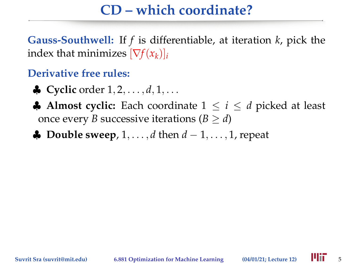**Gauss-Southwell:** If *f* is differentiable, at iteration *k*, pick the index that minimizes  $[\nabla f(x_k)]_i$ 

- $\bullet$  **Cyclic** order  $1, 2, ..., d, 1, ...$
- **♣ Almost cyclic:** Each coordinate  $1 \le i \le d$  picked at least once every *B* successive iterations  $(B > d)$
- ♣ **Double sweep**, 1, . . . , *d* then *d* − 1, . . . , 1, repeat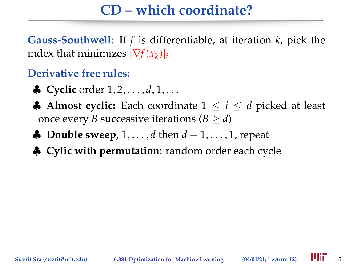**Gauss-Southwell:** If *f* is differentiable, at iteration *k*, pick the index that minimizes  $[\nabla f(x_k)]_i$ 

- ♣ **Cyclic** order 1, 2, . . . , *d*, 1, . . .
- **♣ Almost cyclic:** Each coordinate  $1 \le i \le d$  picked at least once every *B* successive iterations  $(B > d)$
- ♣ **Double sweep**, 1, . . . , *d* then *d* − 1, . . . , 1, repeat
- ♣ **Cylic with permutation**: random order each cycle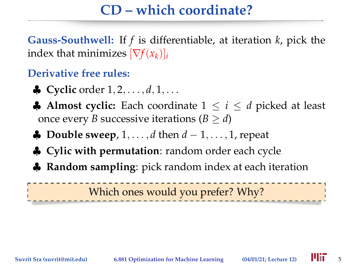**Gauss-Southwell:** If *f* is differentiable, at iteration *k*, pick the index that minimizes  $[\nabla f(x_k)]_i$ 

#### **Derivative free rules:**

- ♣ **Cyclic** order 1, 2, . . . , *d*, 1, . . .
- **♦ Almost cyclic:** Each coordinate  $1 \le i \le d$  picked at least once every *B* successive iterations  $(B > d)$
- ♣ **Double sweep**, 1, . . . , *d* then *d* − 1, . . . , 1, repeat
- ♣ **Cylic with permutation**: random order each cycle
- ♣ **Random sampling**: pick random index at each iteration

Which ones would you prefer? Why?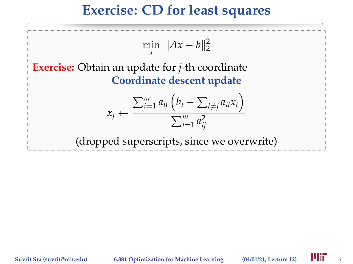### **Exercise: CD for least squares**

$$
\min_{x} \|Ax - b\|_{2}^{2}
$$
  
**Exercise:** Obtain an update for *j*-th coordinate  
Coordinate descent update  

$$
x_{j} \leftarrow \frac{\sum_{i=1}^{m} a_{ij} (b_{i} - \sum_{l \neq j} a_{il}x_{l})}{\sum_{i=1}^{m} a_{ij}^{2}}
$$
  
(dropped superscripts, since we overwrite)

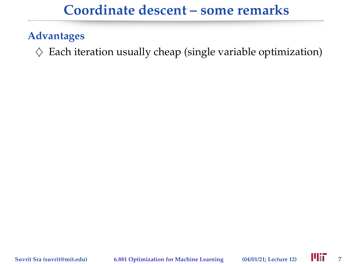#### **Advantages**

 $\diamondsuit$  Each iteration usually cheap (single variable optimization)

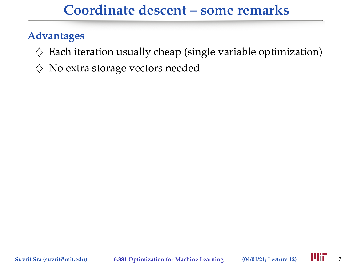- $\diamondsuit$  Each iteration usually cheap (single variable optimization)
- $\diamondsuit$  No extra storage vectors needed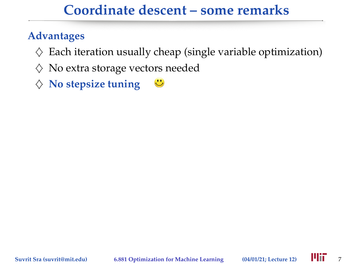- $\diamondsuit$  Each iteration usually cheap (single variable optimization)
- $\diamondsuit$  No extra storage vectors needed
- $\diamondsuit$  No stepsize tuning  $\mathbf{C}$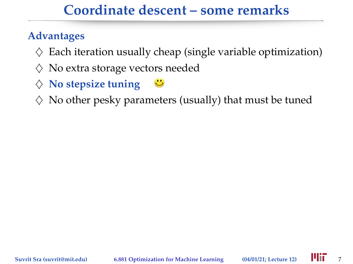- $\diamondsuit$  Each iteration usually cheap (single variable optimization)
- $\diamondsuit$  No extra storage vectors needed
- $\diamondsuit$  No stepsize tuning  $\ddot{\mathbf{C}}$
- $\Diamond$  No other pesky parameters (usually) that must be tuned

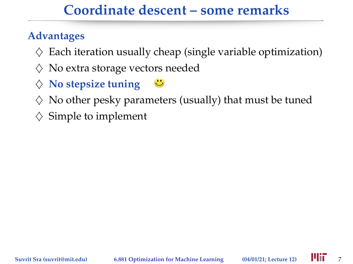- $\diamondsuit$  Each iteration usually cheap (single variable optimization)
- $\diamondsuit$  No extra storage vectors needed
- $\diamondsuit$  No stepsize tuning  $\ddot{\mathbf{C}}$
- $\Diamond$  No other pesky parameters (usually) that must be tuned
- $\diamond$  Simple to implement

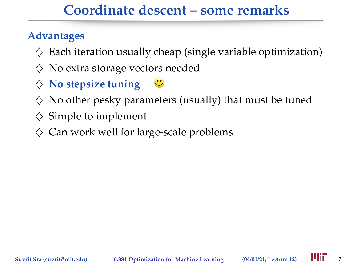- $\Diamond$  Each iteration usually cheap (single variable optimization)
- $\diamondsuit$  No extra storage vectors needed
- $\diamondsuit$  No stepsize tuning  $\mathbf{C}$
- $\Diamond$  No other pesky parameters (usually) that must be tuned
- $\diamond$  Simple to implement
- $\diamondsuit$  Can work well for large-scale problems

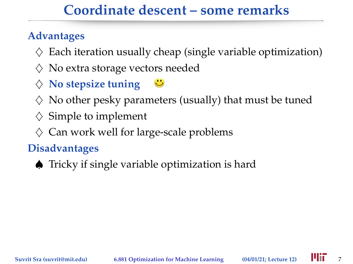#### **Advantages**

- $\Diamond$  Each iteration usually cheap (single variable optimization)
- $\diamondsuit$  No extra storage vectors needed
- $\diamondsuit$  No stepsize tuning  $\ddot{\mathbf{C}}$
- $\Diamond$  No other pesky parameters (usually) that must be tuned
- $\diamond$  Simple to implement
- $\diamondsuit$  Can work well for large-scale problems

#### **Disadvantages**

♠ Tricky if single variable optimization is hard

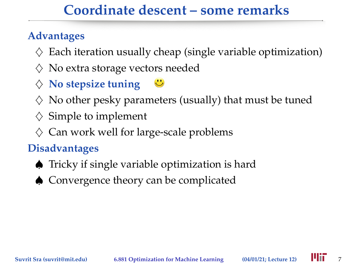#### **Advantages**

- $\Diamond$  Each iteration usually cheap (single variable optimization)
- $\diamondsuit$  No extra storage vectors needed
- $\diamondsuit$  No stepsize tuning  $\ddot{\mathbf{C}}$
- $\Diamond$  No other pesky parameters (usually) that must be tuned
- $\diamond$  Simple to implement
- $\diamondsuit$  Can work well for large-scale problems

#### **Disadvantages**

- ♠ Tricky if single variable optimization is hard
- ♠ Convergence theory can be complicated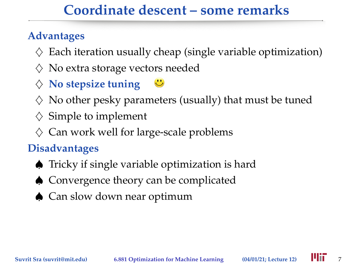#### **Advantages**

- $\Diamond$  Each iteration usually cheap (single variable optimization)
- $\diamondsuit$  No extra storage vectors needed
- $\diamondsuit$  No stepsize tuning  $\ddot{\mathbf{C}}$
- $\Diamond$  No other pesky parameters (usually) that must be tuned
- $\diamond$  Simple to implement
- $\diamondsuit$  Can work well for large-scale problems

### **Disadvantages**

- ♠ Tricky if single variable optimization is hard
- ♠ Convergence theory can be complicated
- ♦ Can slow down near optimum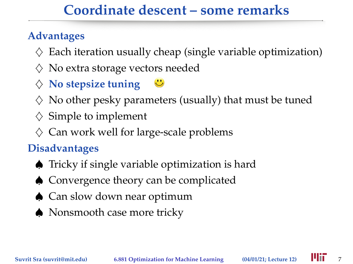#### **Advantages**

- $\Diamond$  Each iteration usually cheap (single variable optimization)
- $\diamondsuit$  No extra storage vectors needed
- $\diamondsuit$  No stepsize tuning  $\ddot{\mathbf{C}}$
- $\Diamond$  No other pesky parameters (usually) that must be tuned
- $\diamond$  Simple to implement
- $\diamondsuit$  Can work well for large-scale problems

### **Disadvantages**

- ♠ Tricky if single variable optimization is hard
- ♠ Convergence theory can be complicated
- ♦ Can slow down near optimum
- ♠ Nonsmooth case more tricky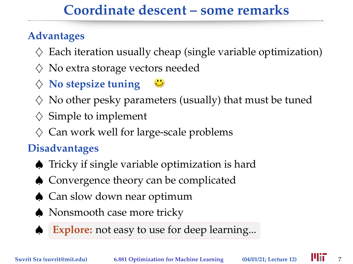#### **Advantages**

- $\Diamond$  Each iteration usually cheap (single variable optimization)
- $\diamondsuit$  No extra storage vectors needed
- $\diamondsuit$  No stepsize tuning  $\ddot{\mathbf{C}}$
- $\Diamond$  No other pesky parameters (usually) that must be tuned
- $\diamond$  Simple to implement
- $\diamondsuit$  Can work well for large-scale problems

### **Disadvantages**

- ♠ Tricky if single variable optimization is hard
- ♠ Convergence theory can be complicated
- ♦ Can slow down near optimum
- ♠ Nonsmooth case more tricky

**Explore:** not easy to use for deep learning...

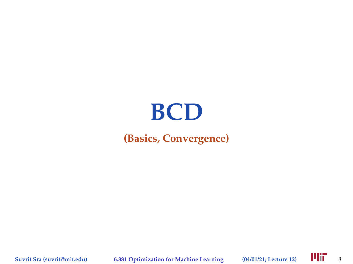# **BCD**

#### **(Basics, Convergence)**

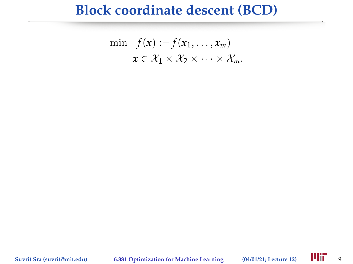### **Block coordinate descent (BCD)**

$$
\min f(\mathbf{x}) := f(\mathbf{x}_1, \dots, \mathbf{x}_m) \n\mathbf{x} \in \mathcal{X}_1 \times \mathcal{X}_2 \times \dots \times \mathcal{X}_m.
$$

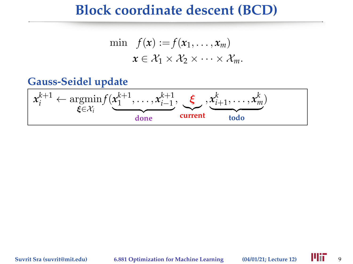### **Block coordinate descent (BCD)**

$$
\min f(\mathbf{x}) := f(x_1, \dots, x_m) \mathbf{x} \in \mathcal{X}_1 \times \mathcal{X}_2 \times \dots \times \mathcal{X}_m.
$$

#### **Gauss-Seidel update**

$$
\mathbf{x}_{i}^{k+1} \leftarrow \underset{\boldsymbol{\xi} \in \mathcal{X}_{i}}{\operatorname{argmin}} f(\underbrace{\mathbf{x}_{1}^{k+1}, \dots, \mathbf{x}_{i-1}^{k+1}}_{\text{done}}, \underbrace{\boldsymbol{\xi}}_{\text{current}}, \underbrace{\mathbf{x}_{i+1}^{k}, \dots, \mathbf{x}_{m}^{k}}_{\text{todo}})
$$

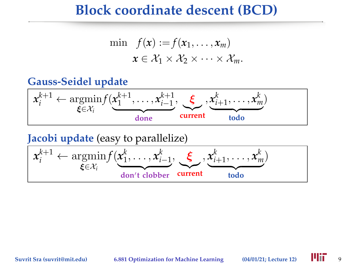### **Block coordinate descent (BCD)**

$$
\min f(\mathbf{x}) := f(x_1, \dots, x_m) \mathbf{x} \in \mathcal{X}_1 \times \mathcal{X}_2 \times \dots \times \mathcal{X}_m.
$$

#### **Gauss-Seidel update**



**Jacobi update** (easy to parallelize) *x k*+1  $a_i^{k+1} \leftarrow \operatornamewithlimits{argmin}_{\boldsymbol{\xi} \in \mathcal{X}_i}$  $f(\pmb{x}^k_1$  $x_{i-1}^k, \ldots, x_{i-1}^k, \infty$  $$ .<br>urren: **current**  $\mathbf{x}_{i+1}^k, \ldots, \mathbf{x}_i$ *k m*  ${tdo}$ **todo** )

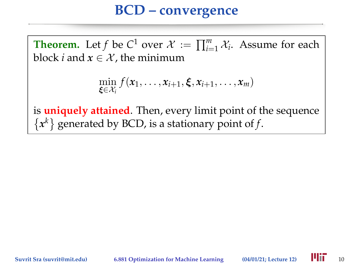# **BCD – convergence**

**Theorem.** Let *f* be *C*<sup>1</sup> over  $\mathcal{X} := \prod_{i=1}^{m} \mathcal{X}_i$ . Assume for each block *i* and  $x \in \mathcal{X}$ , the minimum

$$
\min_{\boldsymbol{\xi}\in\mathcal{X}_i} f(\boldsymbol{x}_1,\ldots,\boldsymbol{x}_{i+1},\boldsymbol{\xi},\boldsymbol{x}_{i+1},\ldots,\boldsymbol{x}_m)
$$

is **uniquely attained**. Then, every limit point of the sequence  ${x<sup>k</sup>}$  generated by BCD, is a stationary point of *f*.

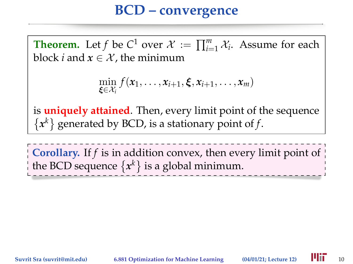# **BCD – convergence**

**Theorem.** Let *f* be *C*<sup>1</sup> over  $\mathcal{X} := \prod_{i=1}^{m} \mathcal{X}_i$ . Assume for each block *i* and  $x \in \mathcal{X}$ , the minimum

$$
\min_{\boldsymbol{\xi}\in\mathcal{X}_i} f(\boldsymbol{x}_1,\ldots,\boldsymbol{x}_{i+1},\boldsymbol{\xi},\boldsymbol{x}_{i+1},\ldots,\boldsymbol{x}_m)
$$

is **uniquely attained**. Then, every limit point of the sequence  ${x<sup>k</sup>}$  generated by BCD, is a stationary point of *f*.

**Corollary.** If *f* is in addition convex, then every limit point of the BCD sequence  $\{x^k\}$  is a global minimum.

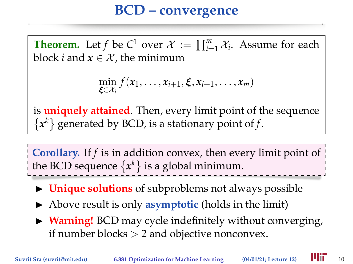# **BCD – convergence**

**Theorem.** Let *f* be *C*<sup>1</sup> over  $\mathcal{X} := \prod_{i=1}^{m} \mathcal{X}_i$ . Assume for each block *i* and  $x \in \mathcal{X}$ , the minimum

$$
\min_{\boldsymbol{\xi}\in\mathcal{X}_i} f(\boldsymbol{x}_1,\ldots,\boldsymbol{x}_{i+1},\boldsymbol{\xi},\boldsymbol{x}_{i+1},\ldots,\boldsymbol{x}_m)
$$

is **uniquely attained**. Then, every limit point of the sequence  ${x<sup>k</sup>}$  generated by BCD, is a stationary point of *f*.

**Corollary.** If *f* is in addition convex, then every limit point of the BCD sequence  $\{x^k\}$  is a global minimum.

- **If** Unique solutions of subproblems not always possible
- Above result is only **asymptotic** (holds in the limit)
- ▶ **Warning!** BCD may cycle indefinitely without converging, if number blocks  $> 2$  and objective nonconvex.

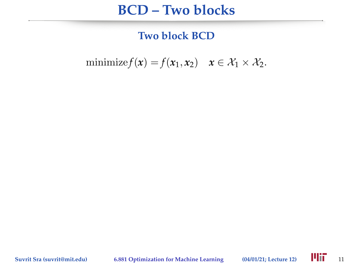### **BCD – Two blocks**

**Two block BCD**

minimize  $f(x) = f(x_1, x_2)$   $x \in \mathcal{X}_1 \times \mathcal{X}_2$ .

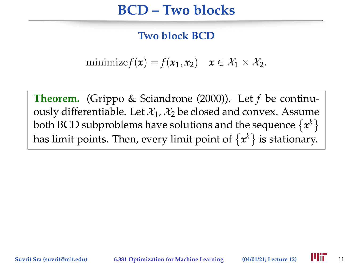# **BCD – Two blocks**

#### **Two block BCD**

minimize  $f(x) = f(x_1, x_2)$   $x \in \mathcal{X}_1 \times \mathcal{X}_2$ .

**Theorem.** (Grippo & Sciandrone (2000)). Let *f* be continuously differentiable. Let  $\mathcal{X}_1$ ,  $\mathcal{X}_2$  be closed and convex. Assume both BCD subproblems have solutions and the sequence  $\{x^k\}$ has limit points. Then*,* every limit point of  $\{x^k\}$  is stationary.

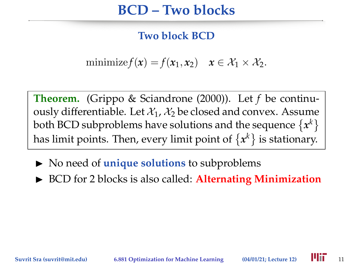# **BCD – Two blocks**

#### **Two block BCD**

minimize  $f(x) = f(x_1, x_2)$   $x \in \mathcal{X}_1 \times \mathcal{X}_2$ .

**Theorem.** (Grippo & Sciandrone (2000)). Let *f* be continuously differentiable. Let  $\mathcal{X}_1$ ,  $\mathcal{X}_2$  be closed and convex. Assume both BCD subproblems have solutions and the sequence  $\{x^k\}$ has limit points. Then*,* every limit point of  $\{x^k\}$  is stationary.

- $\triangleright$  No need of **unique solutions** to subproblems
- ▶ BCD for 2 blocks is also called: <b>Alternating Minimization</b>

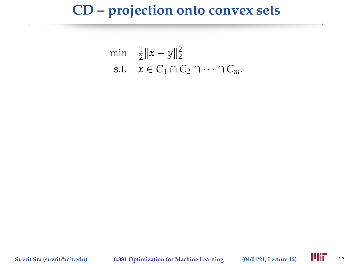#### **CD – projection onto convex sets**

$$
\min_{\mathbf{z}} \quad \frac{1}{2} \|x - y\|_2^2
$$
\n
$$
\text{s.t.} \quad x \in C_1 \cap C_2 \cap \dots \cap C_m.
$$

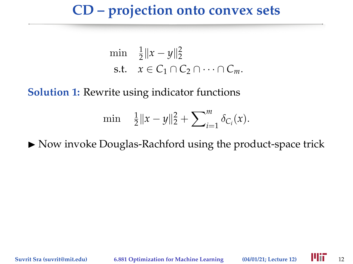### **CD – projection onto convex sets**

$$
\begin{array}{ll}\n\min & \frac{1}{2} \|x - y\|_2^2\\ \n\text{s.t.} & x \in C_1 \cap C_2 \cap \dots \cap C_m.\n\end{array}
$$

**Solution 1:** Rewrite using indicator functions

$$
\min \quad \frac{1}{2} \|x - y\|_2^2 + \sum_{i=1}^m \delta_{C_i}(x).
$$

 $\triangleright$  Now invoke Douglas-Rachford using the product-space trick

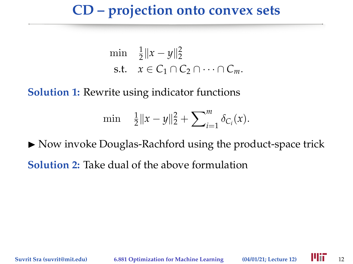### **CD – projection onto convex sets**

$$
\min \quad \frac{1}{2} \|x - y\|_2^2
$$
\n
$$
\text{s.t.} \quad x \in C_1 \cap C_2 \cap \dots \cap C_m.
$$

**Solution 1:** Rewrite using indicator functions

$$
\min \quad \frac{1}{2} \|x - y\|_2^2 + \sum_{i=1}^m \delta_{C_i}(x).
$$

 $\triangleright$  Now invoke Douglas-Rachford using the product-space trick **Solution 2:** Take dual of the above formulation

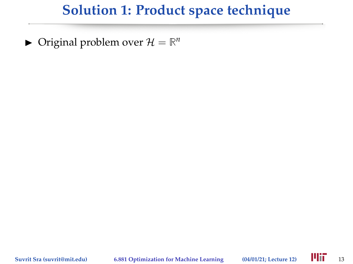$\blacktriangleright$  Original problem over  $\mathcal{H} = \mathbb{R}^n$ 

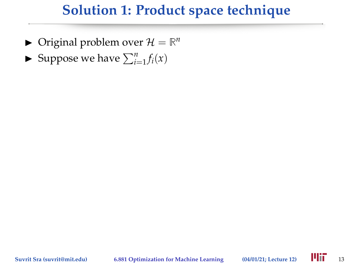- $\blacktriangleright$  Original problem over  $\mathcal{H} = \mathbb{R}^n$
- $\blacktriangleright$  Suppose we have  $\sum_{i=1}^{n} f_i(x)$

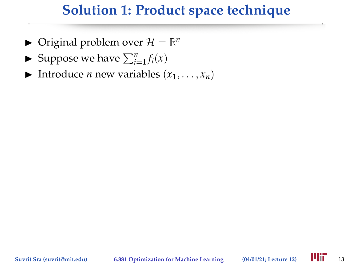- $\blacktriangleright$  Original problem over  $\mathcal{H} = \mathbb{R}^n$
- $\blacktriangleright$  Suppose we have  $\sum_{i=1}^{n} f_i(x)$
- Introduce *n* new variables  $(x_1, \ldots, x_n)$

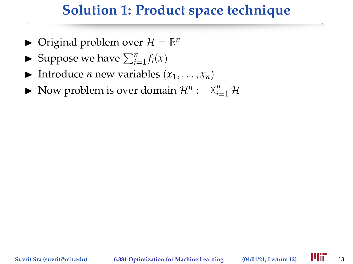- $\blacktriangleright$  Original problem over  $\mathcal{H} = \mathbb{R}^n$
- $\blacktriangleright$  Suppose we have  $\sum_{i=1}^{n} f_i(x)$
- Introduce *n* new variables  $(x_1, \ldots, x_n)$
- $\blacktriangleright$  Now problem is over domain  $\mathcal{H}^n := \mathcal{X}_{i=1}^n \mathcal{H}$

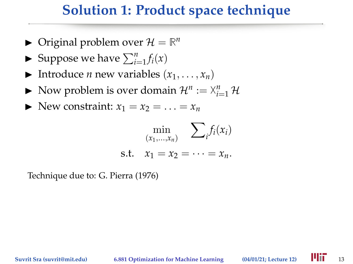- $\blacktriangleright$  Original problem over  $\mathcal{H} = \mathbb{R}^n$
- $\blacktriangleright$  Suppose we have  $\sum_{i=1}^{n} f_i(x)$
- Introduce *n* new variables  $(x_1, \ldots, x_n)$
- $\blacktriangleright$  Now problem is over domain  $\mathcal{H}^n := \mathcal{X}_{i=1}^n \mathcal{H}$
- $\blacktriangleright$  New constraint:  $x_1 = x_2 = \ldots = x_n$

$$
\min_{(x_1,...,x_n)} \sum_i f_i(x_i)
$$
  
s.t.  $x_1 = x_2 = \cdots = x_n$ .

Technique due to: G. Pierra (1976)

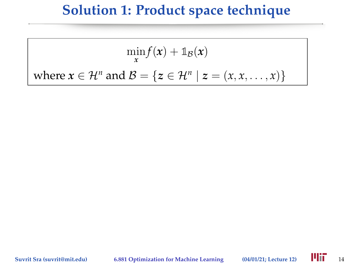$$
\min_{x} f(x) + \mathbb{1}_{\mathcal{B}}(x)
$$
  
where  $x \in \mathcal{H}^n$  and  $\mathcal{B} = \{z \in \mathcal{H}^n \mid z = (x, x, \dots, x)\}$ 

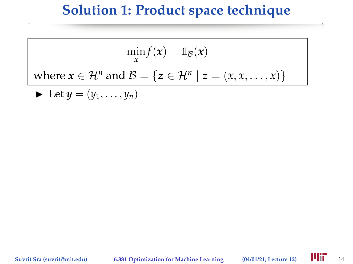$$
\min_{x} f(x) + \mathbb{1}_{\mathcal{B}}(x)
$$
  
where  $x \in \mathcal{H}^n$  and  $\mathcal{B} = \{z \in \mathcal{H}^n \mid z = (x, x, \dots, x)\}$ 

 $\blacktriangleright$  Let  $y = (y_1, \ldots, y_n)$ 

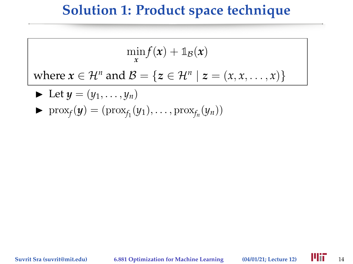$$
\min_{\mathbf{x}} f(\mathbf{x}) + \mathbb{1}_{\mathcal{B}}(\mathbf{x})
$$

where  $x \in \mathcal{H}^n$  and  $\mathcal{B} = \{z \in \mathcal{H}^n \mid z = (x, x, \dots, x)\}\$ 

- $\blacktriangleright$  Let  $y = (y_1, \ldots, y_n)$
- $\blacktriangleright \text{prox}_f(\mathbf{y}) = (\text{prox}_{f_1}(y_1), \dots, \text{prox}_{f_n}(y_n))$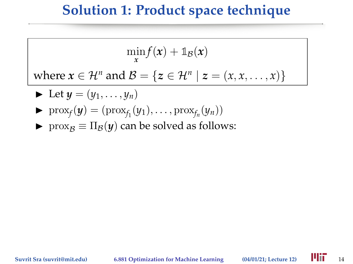$$
\min_{\mathbf{x}} f(\mathbf{x}) + \mathbb{1}_{\mathcal{B}}(\mathbf{x})
$$

where  $x \in \mathcal{H}^n$  and  $\mathcal{B} = \{z \in \mathcal{H}^n \mid z = (x, x, \dots, x)\}\$ 

$$
\blacktriangleright \ \text{Let} \ y = (y_1, \ldots, y_n)
$$

- $\blacktriangleright \text{prox}_f(\mathbf{y}) = (\text{prox}_{f_1}(y_1), \dots, \text{prox}_{f_n}(y_n))$
- $\triangleright$  prox<sub>B</sub> ≡  $\Pi$ <sub>B</sub>(*y*) can be solved as follows:

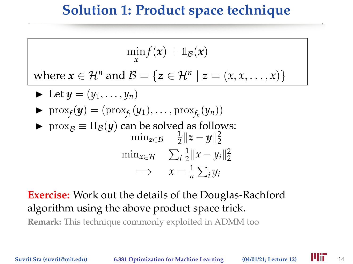$$
\min_{\mathbf{x}} f(\mathbf{x}) + \mathbb{1}_{\mathcal{B}}(\mathbf{x})
$$

where  $x \in \mathcal{H}^n$  and  $\mathcal{B} = \{z \in \mathcal{H}^n \mid z = (x, x, \dots, x)\}\$ 

$$
\blacktriangleright \ \text{Let } y = (y_1, \ldots, y_n)
$$

$$
\blacktriangleright \ \mathrm{prox}_{f}(y) = (\mathrm{prox}_{f_1}(y_1), \ldots, \mathrm{prox}_{f_n}(y_n))
$$

**►** prox<sub>B</sub>  $\equiv \Pi_B(y)$  can be solved as follows:  $\min_{z \in \mathcal{B}} \frac{1}{2}$  $\frac{1}{2} \|z - y\|_2^2$  $\min_{x \in \mathcal{H}} \sum_i \frac{1}{2}$  $\frac{1}{2}||x-y_i||_2^2$  $\implies x = \frac{1}{n} \sum_i y_i$ 

#### **Exercise:** Work out the details of the Douglas-Rachford algorithm using the above product space trick.

**Remark:** This technique commonly exploited in ADMM too

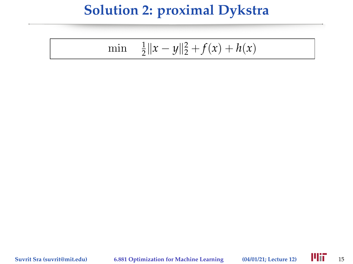$$
\min \quad \frac{1}{2} \|x - y\|_2^2 + f(x) + h(x)
$$

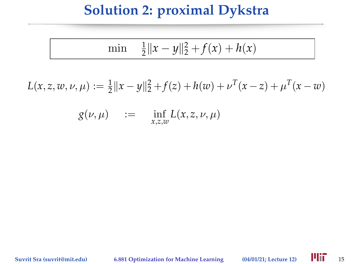$$
\min \quad \frac{1}{2} \|x - y\|_2^2 + f(x) + h(x)
$$

 $L(x, z, w, \nu, \mu) := \frac{1}{2} ||x - y||_2^2 + f(z) + h(w) + \nu^T (x - z) + \mu^T (x - w)$ 

 $g(\nu,\mu)$  :=  $\inf_{x,z,w} L(x,z,\nu,\mu)$ 

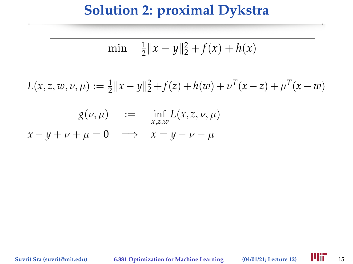$$
\min \quad \frac{1}{2} \|x - y\|_2^2 + f(x) + h(x)
$$

 $L(x, z, w, \nu, \mu) := \frac{1}{2} ||x - y||_2^2 + f(z) + h(w) + \nu^T (x - z) + \mu^T (x - w)$ 

$$
g(\nu, \mu) := \inf_{x, z, w} L(x, z, \nu, \mu)
$$
  

$$
x - y + \nu + \mu = 0 \implies x = y - \nu - \mu
$$

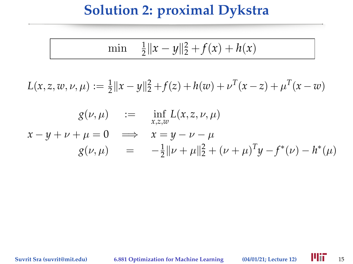$$
\min \quad \frac{1}{2} \|x - y\|_2^2 + f(x) + h(x)
$$

$$
L(x, z, w, \nu, \mu) := \frac{1}{2} ||x - y||_2^2 + f(z) + h(w) + \nu^T (x - z) + \mu^T (x - w)
$$

$$
g(\nu, \mu) := \inf_{x, z, w} L(x, z, \nu, \mu)
$$
  

$$
x - y + \nu + \mu = 0 \implies x = y - \nu - \mu
$$
  

$$
g(\nu, \mu) = -\frac{1}{2} ||\nu + \mu||_2^2 + (\nu + \mu)^T y - f^*(\nu) - h^*(\mu)
$$

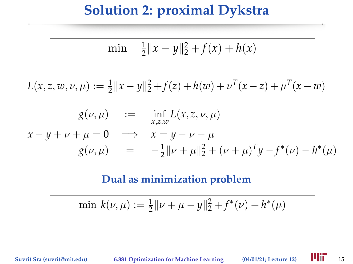$$
\min \quad \frac{1}{2} \|x - y\|_2^2 + f(x) + h(x)
$$

$$
L(x, z, w, \nu, \mu) := \frac{1}{2} ||x - y||_2^2 + f(z) + h(w) + \nu^T (x - z) + \mu^T (x - w)
$$

$$
g(\nu, \mu) := \inf_{x, z, w} L(x, z, \nu, \mu)
$$
  

$$
x - y + \nu + \mu = 0 \implies x = y - \nu - \mu
$$
  

$$
g(\nu, \mu) = -\frac{1}{2} ||\nu + \mu||_2^2 + (\nu + \mu)^T y - f^*(\nu) - h^*(\mu)
$$

#### **Dual as minimization problem**

$$
\min k(\nu, \mu) := \frac{1}{2} ||\nu + \mu - y||_2^2 + f^*(\nu) + h^*(\mu)
$$

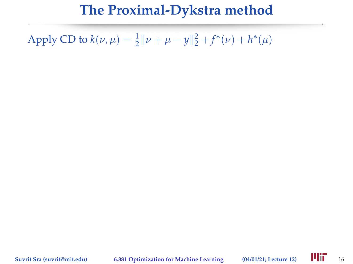Apply CD to  $k(\nu, \mu) = \frac{1}{2} || \nu + \mu - y ||_2^2 + f^*(\nu) + h^*(\mu)$ 

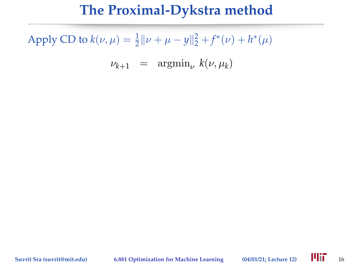Apply CD to  $k(\nu, \mu) = \frac{1}{2} || \nu + \mu - y ||_2^2 + f^*(\nu) + h^*(\mu)$ 

 $\nu_{k+1}$  =  $\operatorname{argmin}_{\nu} k(\nu, \mu_k)$ 

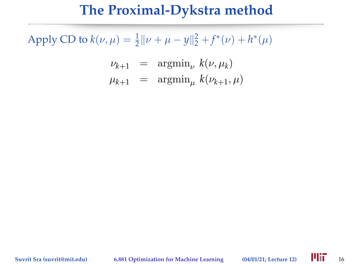$$
\nu_{k+1} = \operatorname{argmin}_{\nu} k(\nu, \mu_k)
$$
  

$$
\mu_{k+1} = \operatorname{argmin}_{\mu} k(\nu_{k+1}, \mu)
$$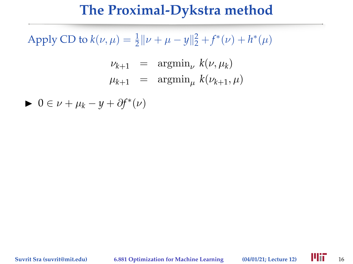Apply CD to  $k(\nu, \mu) = \frac{1}{2} || \nu + \mu - y ||_2^2 + f^*(\nu) + h^*(\mu)$ 

$$
\nu_{k+1} = \operatorname{argmin}_{\nu} k(\nu, \mu_k)
$$
  

$$
\mu_{k+1} = \operatorname{argmin}_{\mu} k(\nu_{k+1}, \mu)
$$

► 0 ∈  $\nu + \mu_k - y + \partial f^*(\nu)$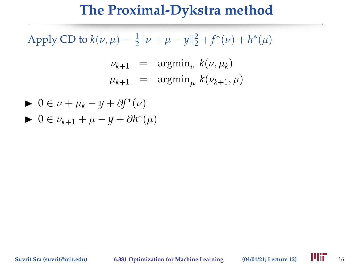$$
\nu_{k+1} = \operatorname{argmin}_{\nu} k(\nu, \mu_k)
$$
  

$$
\mu_{k+1} = \operatorname{argmin}_{\mu} k(\nu_{k+1}, \mu)
$$

$$
\begin{aligned} \blacktriangleright & 0 \in \nu + \mu_k - y + \partial f^*(\nu) \\ \blacktriangleright & 0 \in \nu_{k+1} + \mu - y + \partial h^*(\mu) \end{aligned}
$$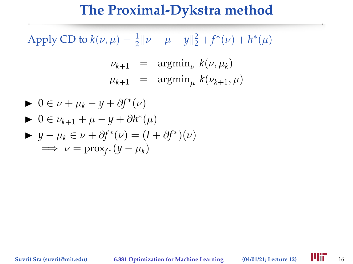$$
\nu_{k+1} = \operatorname{argmin}_{\nu} k(\nu, \mu_k)
$$
  

$$
\mu_{k+1} = \operatorname{argmin}_{\mu} k(\nu_{k+1}, \mu)
$$

$$
0 \in \nu + \mu_k - y + \partial f^*(\nu)
$$
  
\n
$$
0 \in \nu_{k+1} + \mu - y + \partial h^*(\mu)
$$
  
\n
$$
y - \mu_k \in \nu + \partial f^*(\nu) = (I + \partial f^*)(\nu)
$$
  
\n
$$
\implies \nu = \text{prox}_{f^*}(y - \mu_k)
$$

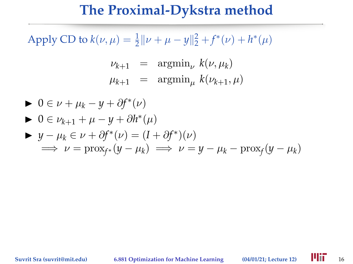$$
\nu_{k+1} = \operatorname{argmin}_{\nu} k(\nu, \mu_k)
$$
  

$$
\mu_{k+1} = \operatorname{argmin}_{\mu} k(\nu_{k+1}, \mu)
$$

$$
0 \in \nu + \mu_k - y + \partial f^*(\nu)
$$
  
\n
$$
0 \in \nu_{k+1} + \mu - y + \partial h^*(\mu)
$$
  
\n
$$
y - \mu_k \in \nu + \partial f^*(\nu) = (I + \partial f^*)(\nu)
$$
  
\n
$$
\implies \nu = \text{prox}_{f^*}(y - \mu_k) \implies \nu = y - \mu_k - \text{prox}_{f}(y - \mu_k)
$$

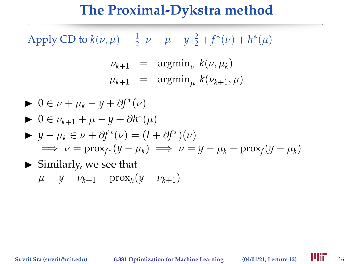$$
\nu_{k+1} = \operatorname{argmin}_{\nu} k(\nu, \mu_k)
$$
  

$$
\mu_{k+1} = \operatorname{argmin}_{\mu} k(\nu_{k+1}, \mu)
$$

\n- \n
$$
0 \in \nu + \mu_k - y + \partial f^*(\nu)
$$
\n
\n- \n
$$
0 \in \nu_{k+1} + \mu - y + \partial h^*(\mu)
$$
\n
\n- \n
$$
y - \mu_k \in \nu + \partial f^*(\nu) = (I + \partial f^*)(\nu)
$$
\n
\n- \n
$$
\implies \nu = \text{prox}_{f^*}(y - \mu_k) \implies \nu = y - \mu_k - \text{prox}_f(y - \mu_k)
$$
\n
\n- \n
$$
\implies \text{Similarly, we see that}
$$
\n
\n

$$
\mu=y-\nu_{k+1}-\mathrm{prox}_{h}(y-\nu_{k+1})
$$

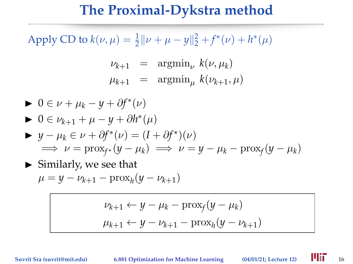Apply CD to  $k(\nu, \mu) = \frac{1}{2} || \nu + \mu - y ||_2^2 + f^*(\nu) + h^*(\mu)$ 

$$
\nu_{k+1} = \operatorname{argmin}_{\nu} k(\nu, \mu_k)
$$
  

$$
\mu_{k+1} = \operatorname{argmin}_{\mu} k(\nu_{k+1}, \mu)
$$

$$
0 \in \nu + \mu_k - y + \partial f^*(\nu)
$$
  
\n
$$
0 \in \nu_{k+1} + \mu - y + \partial h^*(\mu)
$$
  
\n
$$
y - \mu_k \in \nu + \partial f^*(\nu) = (I + \partial f^*)(\nu)
$$
  
\n
$$
\implies \nu = \text{prox}_{f^*}(y - \mu_k) \implies \nu = y - \mu_k - \text{prox}_f(y - \mu_k)
$$

 $\blacktriangleright$  Similarly, we see that

$$
\mu = y - \nu_{k+1} - \text{prox}_{h}(y - \nu_{k+1})
$$

$$
\nu_{k+1} \leftarrow y - \mu_k - \text{prox}_f(y - \mu_k)
$$

$$
\mu_{k+1} \leftarrow y - \nu_{k+1} - \text{prox}_h(y - \nu_{k+1})
$$

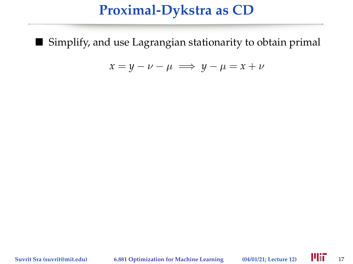#### **Proximal-Dykstra as CD**

■ Simplify, and use Lagrangian stationarity to obtain primal

$$
x = y - \nu - \mu \implies y - \mu = x + \nu
$$

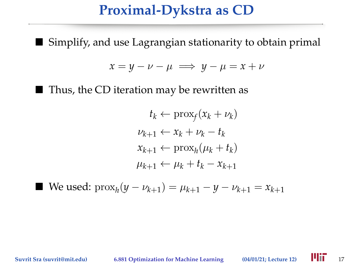#### **Proximal-Dykstra as CD**

■ Simplify, and use Lagrangian stationarity to obtain primal

$$
x = y - \nu - \mu \implies y - \mu = x + \nu
$$

 $\blacksquare$  Thus, the CD iteration may be rewritten as

$$
t_k \leftarrow \text{prox}_f(x_k + \nu_k)
$$
  

$$
\nu_{k+1} \leftarrow x_k + \nu_k - t_k
$$
  

$$
x_{k+1} \leftarrow \text{prox}_h(\mu_k + t_k)
$$
  

$$
\mu_{k+1} \leftarrow \mu_k + t_k - x_{k+1}
$$

■ We used:  $\text{prox}_{h}(y - \nu_{k+1}) = \mu_{k+1} - y - \nu_{k+1} = x_{k+1}$ 

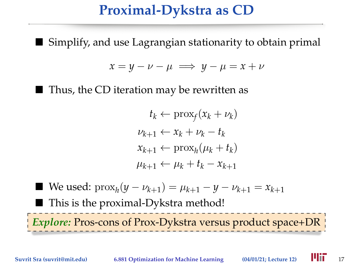## **Proximal-Dykstra as CD**

Simplify, and use Lagrangian stationarity to obtain primal

$$
x = y - \nu - \mu \implies y - \mu = x + \nu
$$

■ Thus, the CD iteration may be rewritten as

$$
t_k \leftarrow \text{prox}_f(x_k + \nu_k)
$$
  
\n
$$
\nu_{k+1} \leftarrow x_k + \nu_k - t_k
$$
  
\n
$$
x_{k+1} \leftarrow \text{prox}_h(\mu_k + t_k)
$$
  
\n
$$
\mu_{k+1} \leftarrow \mu_k + t_k - x_{k+1}
$$

■ We used:  $\text{prox}_{h}(y - \nu_{k+1}) = \mu_{k+1} - y - \nu_{k+1} = x_{k+1}$ ■ This is the proximal-Dykstra method! *Explore:* Pros-cons of Prox-Dykstra versus product space+DR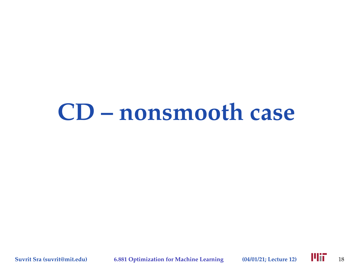## **CD – nonsmooth case**

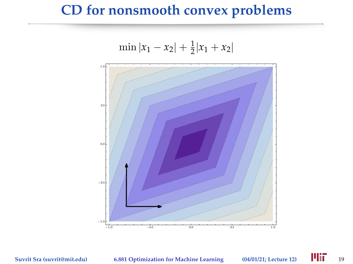#### **CD for nonsmooth convex problems**



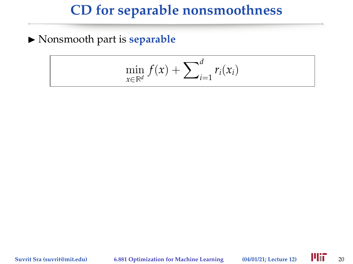## **CD for separable nonsmoothness**

 $\blacktriangleright$  Nonsmooth part is **separable** 

$$
\min_{x \in \mathbb{R}^d} f(x) + \sum_{i=1}^d r_i(x_i)
$$

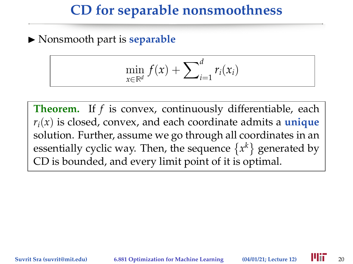#### **CD for separable nonsmoothness**

 $\blacktriangleright$  Nonsmooth part is **separable** 

$$
\min_{x \in \mathbb{R}^d} f(x) + \sum_{i=1}^d r_i(x_i)
$$

**Theorem.** If *f* is convex, continuously differentiable, each  $r_i(x)$  is closed, convex, and each coordinate admits a **unique** solution. Further, assume we go through all coordinates in an essentially cyclic way. Then, the sequence  $\{x^k\}$  generated by CD is bounded, and every limit point of it is optimal.

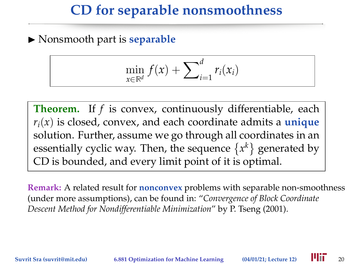## **CD for separable nonsmoothness**

 $\blacktriangleright$  Nonsmooth part is **separable** 

$$
\min_{x \in \mathbb{R}^d} f(x) + \sum_{i=1}^d r_i(x_i)
$$

**Theorem.** If *f* is convex, continuously differentiable, each  $r_i(x)$  is closed, convex, and each coordinate admits a **unique** solution. Further, assume we go through all coordinates in an essentially cyclic way. Then, the sequence  $\{x^k\}$  generated by CD is bounded, and every limit point of it is optimal.

**Remark:** A related result for **nonconvex** problems with separable non-smoothness (under more assumptions), can be found in: "*Convergence of Block Coordinate Descent Method for Nondifferentiable Minimization*" by P. Tseng (2001).

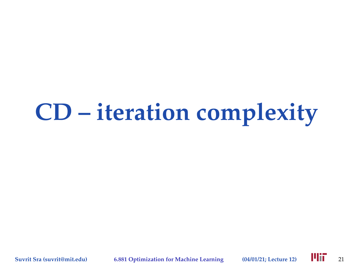# **CD – iteration complexity**

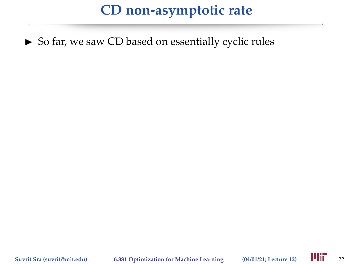$\triangleright$  So far, we saw CD based on essentially cyclic rules

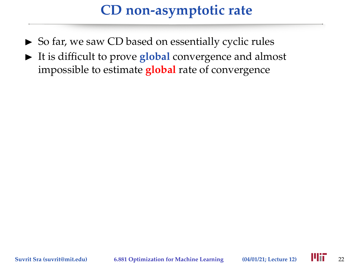- $\triangleright$  So far, we saw CD based on essentially cyclic rules
- It is difficult to prove **global** convergence and almost impossible to estimate **global** rate of convergence

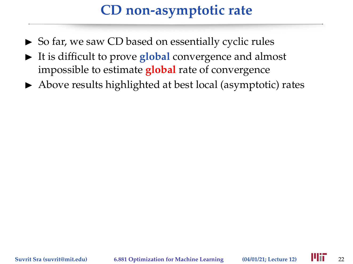- $\triangleright$  So far, we saw CD based on essentially cyclic rules
- It is difficult to prove **global** convergence and almost impossible to estimate **global** rate of convergence
- $\triangleright$  Above results highlighted at best local (asymptotic) rates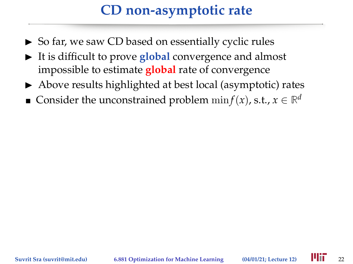- $\triangleright$  So far, we saw CD based on essentially cyclic rules
- It is difficult to prove **global** convergence and almost impossible to estimate **global** rate of convergence
- $\triangleright$  Above results highlighted at best local (asymptotic) rates
- Consider the unconstrained problem  $\min f(x)$ , s.t.,  $x \in \mathbb{R}^d$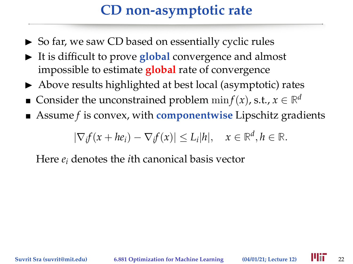- $\triangleright$  So far, we saw CD based on essentially cyclic rules
- It is difficult to prove **global** convergence and almost impossible to estimate **global** rate of convergence
- $\triangleright$  Above results highlighted at best local (asymptotic) rates
- Consider the unconstrained problem  $\min f(x)$ , s.t.,  $x \in \mathbb{R}^d$
- Assume *f* is convex, with **componentwise** Lipschitz gradients

 $|\nabla_i f(x + he_i) - \nabla_i f(x)| \leq L_i |h|, \quad x \in \mathbb{R}^d, h \in \mathbb{R}.$ 

Here *e<sup>i</sup>* denotes the *i*th canonical basis vector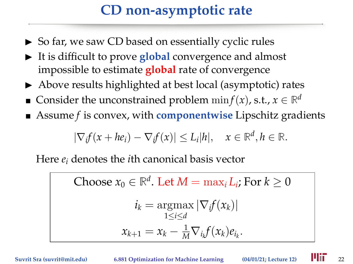- $\triangleright$  So far, we saw CD based on essentially cyclic rules
- It is difficult to prove **global** convergence and almost impossible to estimate **global** rate of convergence
- $\triangleright$  Above results highlighted at best local (asymptotic) rates
- Consider the unconstrained problem  $\min f(x)$ , s.t.,  $x \in \mathbb{R}^d$
- Assume *f* is convex, with **componentwise** Lipschitz gradients

$$
|\nabla_i f(x + he_i) - \nabla_i f(x)| \le L_i |h|, \quad x \in \mathbb{R}^d, h \in \mathbb{R}.
$$

Here *e<sup>i</sup>* denotes the *i*th canonical basis vector

Choose  $x_0 \in \mathbb{R}^d$ . Let  $M = \max_i L_i$ ; For  $k \geq 0$  $i_k = \text{argmax} |\nabla_i f(x_k)|$ 1≤*i*≤*d*  $x_{k+1} = x_k - \frac{1}{M} \nabla_{i_k} f(x_k) e_{i_k}.$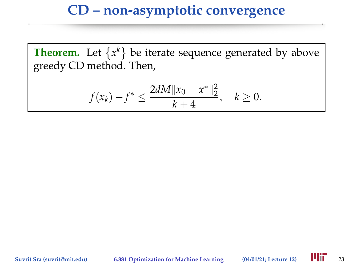$$
f(x_k)-f^*\leq \frac{2dM||x_0-x^*||_2^2}{k+4}, \quad k\geq 0.
$$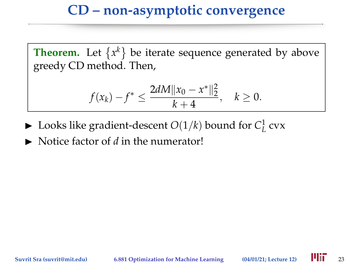$$
f(x_k)-f^*\leq \frac{2dM||x_0-x^*||_2^2}{k+4}, \quad k\geq 0.
$$

- $\blacktriangleright$  Looks like gradient-descent  $O(1/k)$  bound for  $C^1_L$  cvx
- $\triangleright$  Notice factor of *d* in the numerator!

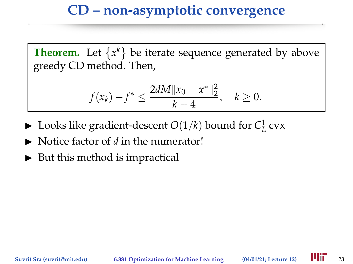$$
f(x_k)-f^*\leq \frac{2dM||x_0-x^*||_2^2}{k+4}, \quad k\geq 0.
$$

- $\blacktriangleright$  Looks like gradient-descent  $O(1/k)$  bound for  $C^1_L$  cvx
- $\triangleright$  Notice factor of *d* in the numerator!
- $\triangleright$  But this method is impractical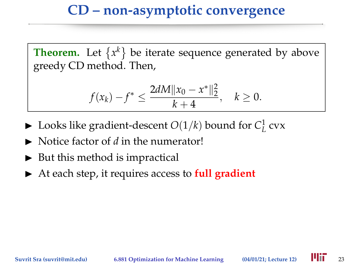$$
f(x_k)-f^*\leq \frac{2dM||x_0-x^*||_2^2}{k+4}, \quad k\geq 0.
$$

- $\blacktriangleright$  Looks like gradient-descent  $O(1/k)$  bound for  $C^1_L$  cvx
- $\triangleright$  Notice factor of *d* in the numerator!
- $\triangleright$  But this method is impractical
- ▶ At each step, it requires access to **full gradient**

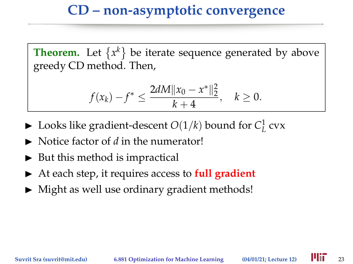$$
f(x_k)-f^*\leq \frac{2dM||x_0-x^*||_2^2}{k+4}, \quad k\geq 0.
$$

- $\blacktriangleright$  Looks like gradient-descent  $O(1/k)$  bound for  $C^1_L$  cvx
- $\triangleright$  Notice factor of *d* in the numerator!
- $\triangleright$  But this method is impractical
- ▶ At each step, it requires access to **full gradient**
- $\triangleright$  Might as well use ordinary gradient methods!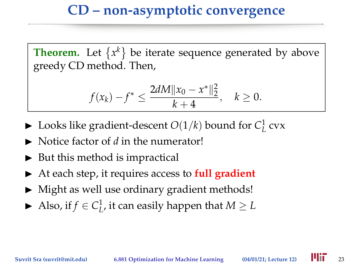$$
f(x_k)-f^*\leq \frac{2dM||x_0-x^*||_2^2}{k+4}, \quad k\geq 0.
$$

- $\blacktriangleright$  Looks like gradient-descent  $O(1/k)$  bound for  $C^1_L$  cvx
- $\triangleright$  Notice factor of *d* in the numerator!
- $\triangleright$  But this method is impractical
- ▶ At each step, it requires access to **full gradient**
- $\triangleright$  Might as well use ordinary gradient methods!
- Also, if  $f \in C^1_L$ , it can easily happen that  $M \geq L$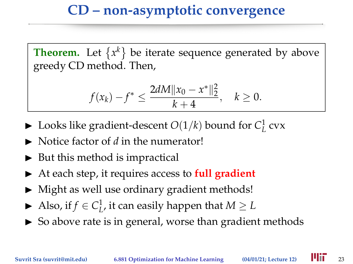$$
f(x_k)-f^*\leq \frac{2dM||x_0-x^*||_2^2}{k+4}, \quad k\geq 0.
$$

- $\blacktriangleright$  Looks like gradient-descent  $O(1/k)$  bound for  $C^1_L$  cvx
- $\triangleright$  Notice factor of *d* in the numerator!
- $\triangleright$  But this method is impractical
- ▶ At each step, it requires access to **full gradient**
- $\triangleright$  Might as well use ordinary gradient methods!
- Also, if  $f \in C^1_L$ , it can easily happen that  $M \geq L$
- $\triangleright$  So above rate is in general, worse than gradient methods

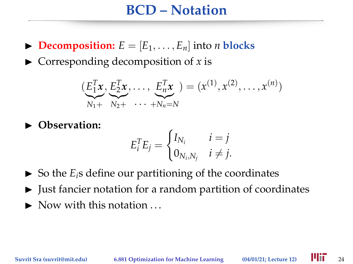#### **BCD – Notation**

- $\triangleright$  **Decomposition:**  $E = [E_1, \ldots, E_n]$  into *n* blocks
- $\triangleright$  Corresponding decomposition of *x* is

$$
(\underbrace{E_1^T x}_{N_1+} , \underbrace{E_2^T x}_{N_2+} , \dots, \underbrace{E_n^T x}_{N_n=N}) = (x^{(1)}, x^{(2)}, \dots, x^{(n)})
$$

 $\blacktriangleright$  Observation:

$$
E_i^T E_j = \begin{cases} I_{N_i} & i = j \\ 0_{N_i, N_j} & i \neq j. \end{cases}
$$

- $\triangleright$  So the  $E_i$ s define our partitioning of the coordinates
- $\blacktriangleright$  Just fancier notation for a random partition of coordinates
- $\blacktriangleright$  Now with this notation  $\ldots$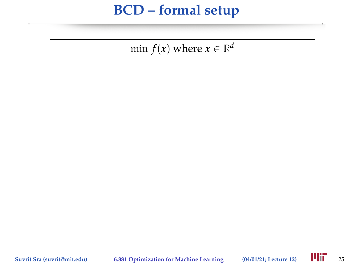$\min f(x)$  where  $x \in \mathbb{R}^d$ 

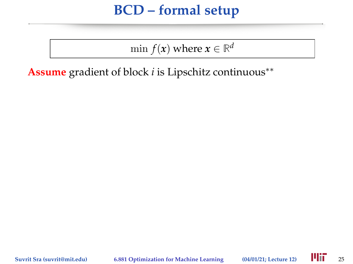$\min f(x)$  where  $x \in \mathbb{R}^d$ 

**Assume** gradient of block *i* is Lipschitz continuous∗∗

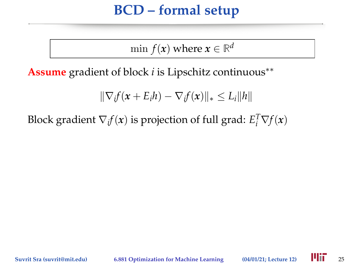$\min f(x)$  where  $x \in \mathbb{R}^d$ 

**Assume** gradient of block *i* is Lipschitz continuous∗∗

 $\|\nabla_i f(\boldsymbol{x} + \boldsymbol{E}_i \boldsymbol{h}) - \nabla_i f(\boldsymbol{x})\|_* \leq L_i \|\boldsymbol{h}\|$ 

Block gradient  $\nabla_i f(x)$  is projection of full grad:  $E_i^T \nabla f(x)$ 

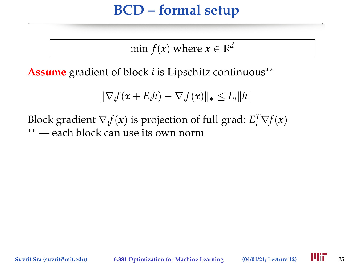$\min f(x)$  where  $x \in \mathbb{R}^d$ 

**Assume** gradient of block *i* is Lipschitz continuous∗∗

$$
\|\nabla_i f(\mathbf{x} + E_i h) - \nabla_i f(\mathbf{x})\|_* \leq L_i \|h\|
$$

Block gradient  $\nabla_i f(x)$  is projection of full grad:  $E_i^T \nabla f(x)$ ∗∗ — each block can use its own norm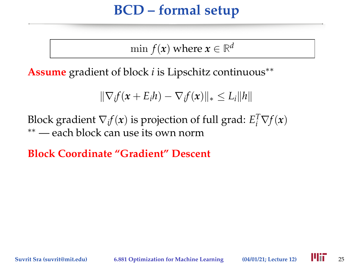$\min f(x)$  where  $x \in \mathbb{R}^d$ 

**Assume** gradient of block *i* is Lipschitz continuous∗∗

$$
\|\nabla_i f(\mathbf{x} + E_i h) - \nabla_i f(\mathbf{x})\|_* \leq L_i \|h\|
$$

Block gradient  $\nabla_i f(x)$  is projection of full grad:  $E_i^T \nabla f(x)$ ∗∗ — each block can use its own norm

**Block Coordinate "Gradient" Descent**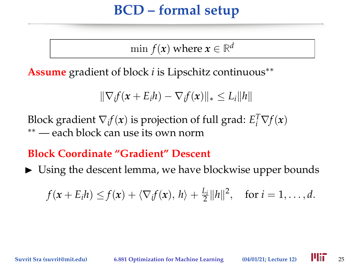$\min f(x)$  where  $x \in \mathbb{R}^d$ 

**Assume** gradient of block *i* is Lipschitz continuous∗∗

$$
\|\nabla_i f(\mathbf{x} + E_i h) - \nabla_i f(\mathbf{x})\|_* \le L_i \|h\|
$$

Block gradient  $\nabla_i f(x)$  is projection of full grad:  $E_i^T \nabla f(x)$ ∗∗ — each block can use its own norm

**Block Coordinate "Gradient" Descent**

 $\triangleright$  Using the descent lemma, we have blockwise upper bounds

$$
f(x+E_i h) \leq f(x) + \langle \nabla_i f(x), h \rangle + \frac{L_i}{2} ||h||^2
$$
, for  $i = 1, ..., d$ .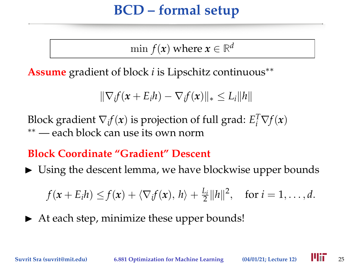$\min f(x)$  where  $x \in \mathbb{R}^d$ 

**Assume** gradient of block *i* is Lipschitz continuous∗∗

$$
\|\nabla_i f(\mathbf{x} + E_i h) - \nabla_i f(\mathbf{x})\|_* \le L_i \|h\|
$$

Block gradient  $\nabla_i f(x)$  is projection of full grad:  $E_i^T \nabla f(x)$ ∗∗ — each block can use its own norm

**Block Coordinate "Gradient" Descent**

 $\triangleright$  Using the descent lemma, we have blockwise upper bounds

 $f(x + E_i h) \le f(x) + \langle \nabla_i f(x), h \rangle + \frac{L_i}{2} ||h||^2$ , for  $i = 1, ..., d$ .

 $\blacktriangleright$  At each step, minimize these upper bounds!

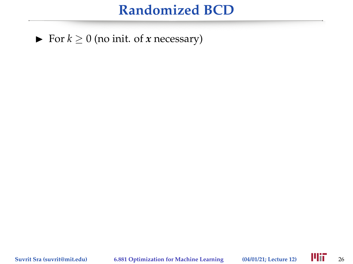▶ For  $k \ge 0$  (no init. of *x* necessary)

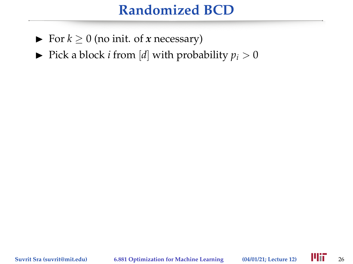- ► For  $k \ge 0$  (no init. of *x* necessary)
- $\blacktriangleright$  Pick a block *i* from [*d*] with probability  $p_i > 0$

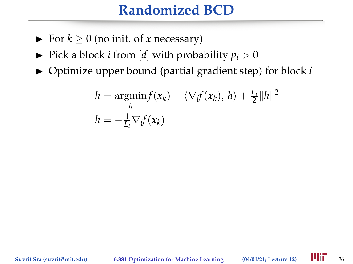- ► For  $k \ge 0$  (no init. of *x* necessary)
- $\blacktriangleright$  Pick a block *i* from [*d*] with probability  $p_i > 0$
- ▶ Optimize upper bound (partial gradient step) for block *i*

$$
h = \underset{h}{\operatorname{argmin}} f(\mathbf{x}_k) + \langle \nabla_i f(\mathbf{x}_k), h \rangle + \frac{L_i}{2} ||h||^2
$$
  

$$
h = -\frac{1}{L_i} \nabla_i f(\mathbf{x}_k)
$$

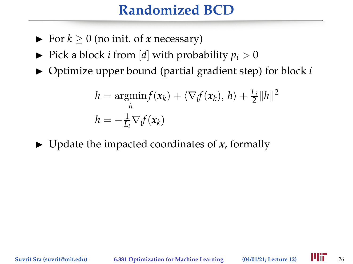- $\triangleright$  For  $k > 0$  (no init. of *x* necessary)
- $\blacktriangleright$  Pick a block *i* from [*d*] with probability  $p_i > 0$
- ▶ Optimize upper bound (partial gradient step) for block *i*

$$
h = \underset{h}{\operatorname{argmin}} f(\mathbf{x}_k) + \langle \nabla_i f(\mathbf{x}_k), h \rangle + \frac{L_i}{2} ||h||^2
$$
  

$$
h = -\frac{1}{L_i} \nabla_i f(\mathbf{x}_k)
$$

 $\triangleright$  Update the impacted coordinates of *x*, formally

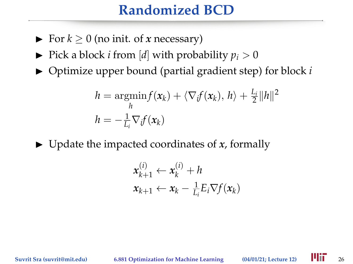- $\triangleright$  For  $k > 0$  (no init. of *x* necessary)
- $\blacktriangleright$  Pick a block *i* from [*d*] with probability  $p_i > 0$
- ▶ Optimize upper bound (partial gradient step) for block *i*

$$
h = \underset{h}{\operatorname{argmin}} f(\mathbf{x}_k) + \langle \nabla_i f(\mathbf{x}_k), h \rangle + \frac{L_i}{2} ||h||^2
$$
  

$$
h = -\frac{1}{L_i} \nabla_i f(\mathbf{x}_k)
$$

 $\triangleright$  Update the impacted coordinates of *x*, formally

$$
\mathbf{x}_{k+1}^{(i)} \leftarrow \mathbf{x}_k^{(i)} + h
$$
  

$$
\mathbf{x}_{k+1} \leftarrow \mathbf{x}_k - \frac{1}{L_i} E_i \nabla f(\mathbf{x}_k)
$$

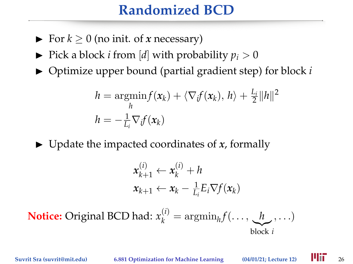- $\triangleright$  For  $k > 0$  (no init. of *x* necessary)
- $\blacktriangleright$  Pick a block *i* from [*d*] with probability  $p_i > 0$
- ▶ Optimize upper bound (partial gradient step) for block *i*

$$
h = \underset{h}{\operatorname{argmin}} f(\mathbf{x}_k) + \langle \nabla_i f(\mathbf{x}_k), h \rangle + \frac{L_i}{2} ||h||^2
$$
  

$$
h = -\frac{1}{L_i} \nabla_i f(\mathbf{x}_k)
$$

 $\triangleright$  Update the impacted coordinates of *x*, formally

$$
\mathbf{x}_{k+1}^{(i)} \leftarrow \mathbf{x}_k^{(i)} + h
$$
  

$$
\mathbf{x}_{k+1} \leftarrow \mathbf{x}_k - \frac{1}{L_i} E_i \nabla f(\mathbf{x}_k)
$$

**Notice:** Original BCD had:  $x_k^{(i)} = \operatorname{argmin}_h f(\ldots, \underbrace{h}{h}, \ldots)$ |{z} block *i*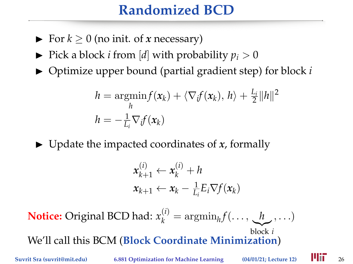## **Randomized BCD**

- $\triangleright$  For  $k > 0$  (no init. of *x* necessary)
- $\blacktriangleright$  Pick a block *i* from [*d*] with probability  $p_i > 0$
- ▶ Optimize upper bound (partial gradient step) for block *i*

$$
h = \underset{h}{\operatorname{argmin}} f(\mathbf{x}_k) + \langle \nabla_i f(\mathbf{x}_k), h \rangle + \frac{L_i}{2} ||h||^2
$$
  

$$
h = -\frac{1}{L_i} \nabla_i f(\mathbf{x}_k)
$$

 $\triangleright$  Update the impacted coordinates of *x*, formally

$$
\mathbf{x}_{k+1}^{(i)} \leftarrow \mathbf{x}_k^{(i)} + h
$$
  

$$
\mathbf{x}_{k+1} \leftarrow \mathbf{x}_k - \frac{1}{L_i} E_i \nabla f(\mathbf{x}_k)
$$

**Notice:** Original BCD had:  $x_k^{(i)} = \operatorname{argmin}_h f(\ldots, \underbrace{h}{h}, \ldots)$ |{z} block *i* We'll call this BCM (**Block Coordinate Minimization**)

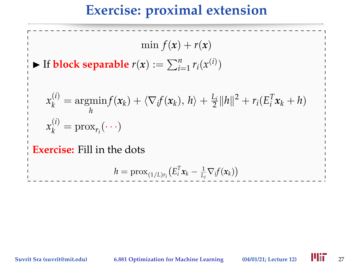## **Exercise: proximal extension**

 $\min f(x) + r(x)$ 

 $\blacktriangleright$  If **block separable**  $r(x) := \sum_{i=1}^{n} r_i(x^{(i)})$ 

$$
x_k^{(i)} = \underset{h}{\operatorname{argmin}} f(\mathbf{x}_k) + \langle \nabla_i f(\mathbf{x}_k), h \rangle + \frac{L_i}{2} ||h||^2 + r_i (E_i^T \mathbf{x}_k + h)
$$
  

$$
x_k^{(i)} = \operatorname{prox}_{r_i}(\cdot \cdot \cdot)
$$

**Exercise:** Fill in the dots

$$
h = \mathrm{prox}_{(1/L)r_i}\big(E_i^T \mathbf{x}_k - \tfrac{1}{L_i} \nabla_i f(\mathbf{x}_k)\big)
$$

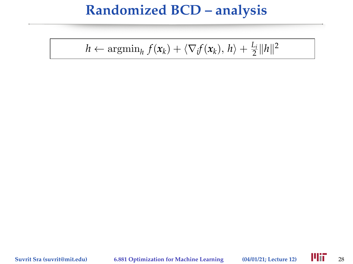$h \leftarrow \operatorname{argmin}_h f(\mathbf{x}_k) + \langle \nabla_i f(\mathbf{x}_k), h \rangle + \frac{L_i}{2} ||h||^2$ 

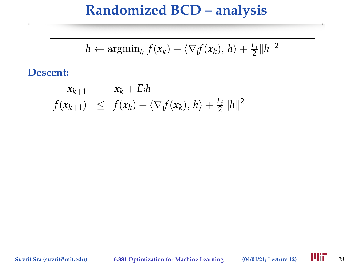$$
h \leftarrow \operatorname{argmin}_{h} f(\mathbf{x}_k) + \langle \nabla_i f(\mathbf{x}_k), h \rangle + \frac{L_i}{2} ||h||^2
$$

#### **Descent:**

$$
\begin{array}{rcl}\n\mathbf{x}_{k+1} & = & \mathbf{x}_k + E_i h \\
f(\mathbf{x}_{k+1}) & \leq & f(\mathbf{x}_k) + \langle \nabla_i f(\mathbf{x}_k), \, h \rangle + \frac{L_i}{2} \| h \|^2\n\end{array}
$$

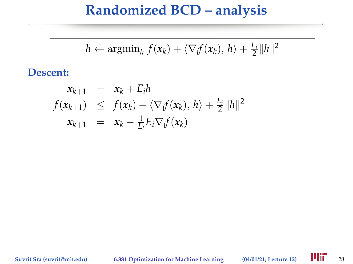$$
h \leftarrow \operatorname{argmin}_{h} f(\mathbf{x}_k) + \langle \nabla_i f(\mathbf{x}_k), h \rangle + \frac{L_i}{2} ||h||^2
$$

#### **Descent:**

$$
x_{k+1} = x_k + E_i h
$$
  
\n
$$
f(x_{k+1}) \leq f(x_k) + \langle \nabla_i f(x_k), h \rangle + \frac{L_i}{2} ||h||^2
$$
  
\n
$$
x_{k+1} = x_k - \frac{1}{L_i} E_i \nabla_i f(x_k)
$$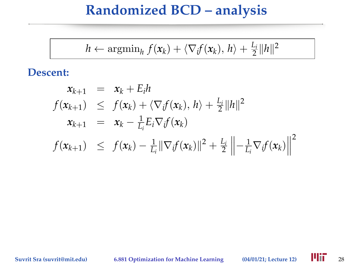$$
h \leftarrow \operatorname{argmin}_{h} f(\mathbf{x}_k) + \langle \nabla_i f(\mathbf{x}_k), h \rangle + \frac{L_i}{2} ||h||^2
$$

#### **Descent:**

$$
x_{k+1} = x_k + E_i h
$$
  
\n
$$
f(x_{k+1}) \leq f(x_k) + \langle \nabla_i f(x_k), h \rangle + \frac{L_i}{2} ||h||^2
$$
  
\n
$$
x_{k+1} = x_k - \frac{1}{L_i} E_i \nabla_i f(x_k)
$$
  
\n
$$
f(x_{k+1}) \leq f(x_k) - \frac{1}{L_i} ||\nabla_i f(x_k)||^2 + \frac{L_i}{2} ||-\frac{1}{L_i} \nabla_i f(x_k)||^2
$$

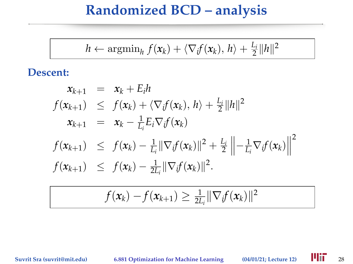$$
h \leftarrow \operatorname{argmin}_{h} f(\mathbf{x}_k) + \langle \nabla_i f(\mathbf{x}_k), h \rangle + \frac{L_i}{2} ||h||^2
$$

#### **Descent:**

$$
x_{k+1} = x_k + E_i h
$$
  
\n
$$
f(x_{k+1}) \leq f(x_k) + \langle \nabla_i f(x_k), h \rangle + \frac{L_i}{2} ||h||^2
$$
  
\n
$$
x_{k+1} = x_k - \frac{1}{L_i} E_i \nabla_i f(x_k)
$$
  
\n
$$
f(x_{k+1}) \leq f(x_k) - \frac{1}{L_i} ||\nabla_i f(x_k)||^2 + \frac{L_i}{2} ||-\frac{1}{L_i} \nabla_i f(x_k)||^2
$$
  
\n
$$
f(x_{k+1}) \leq f(x_k) - \frac{1}{2L_i} ||\nabla_i f(x_k)||^2.
$$

$$
f(\mathbf{x}_k) - f(\mathbf{x}_{k+1}) \geq \frac{1}{2L_i} \|\nabla_i f(\mathbf{x}_k)\|^2
$$

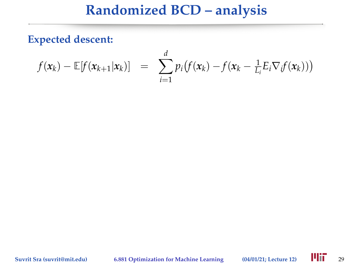**Expected descent:**

$$
f(\mathbf{x}_k) - \mathbb{E}[f(\mathbf{x}_{k+1}|\mathbf{x}_k)] = \sum_{i=1}^d p_i (f(\mathbf{x}_k) - f(\mathbf{x}_k - \frac{1}{L_i} E_i \nabla_i f(\mathbf{x}_k)))
$$

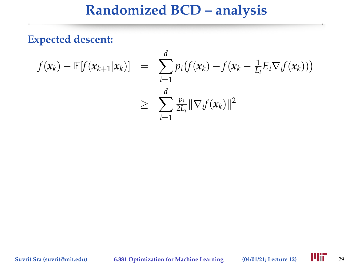**Expected descent:**

$$
f(\mathbf{x}_k) - \mathbb{E}[f(\mathbf{x}_{k+1}|\mathbf{x}_k)] = \sum_{i=1}^d p_i (f(\mathbf{x}_k) - f(\mathbf{x}_k - \frac{1}{L_i} E_i \nabla_i f(\mathbf{x}_k)))
$$
  
\n
$$
\geq \sum_{i=1}^d \frac{p_i}{2L_i} ||\nabla_i f(\mathbf{x}_k)||^2
$$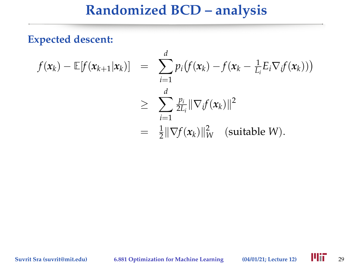#### **Expected descent:**

$$
f(\mathbf{x}_k) - \mathbb{E}[f(\mathbf{x}_{k+1}|\mathbf{x}_k)] = \sum_{i=1}^d p_i (f(\mathbf{x}_k) - f(\mathbf{x}_k - \frac{1}{L_i} E_i \nabla_i f(\mathbf{x}_k)))
$$
  
\n
$$
\geq \sum_{i=1}^d \frac{p_i}{2L_i} ||\nabla_i f(\mathbf{x}_k)||^2
$$
  
\n
$$
= \frac{1}{2} ||\nabla f(\mathbf{x}_k)||_W^2 \quad \text{(suitable } W).
$$

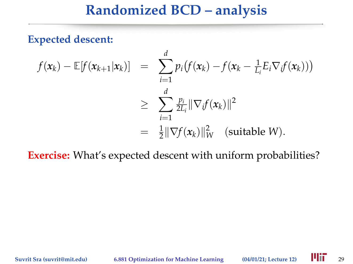**Expected descent:**

$$
f(\mathbf{x}_k) - \mathbb{E}[f(\mathbf{x}_{k+1}|\mathbf{x}_k)] = \sum_{i=1}^d p_i (f(\mathbf{x}_k) - f(\mathbf{x}_k - \frac{1}{L_i} E_i \nabla_i f(\mathbf{x}_k)))
$$
  
\n
$$
\geq \sum_{i=1}^d \frac{p_i}{2L_i} ||\nabla_i f(\mathbf{x}_k)||^2
$$
  
\n
$$
= \frac{1}{2} ||\nabla f(\mathbf{x}_k)||_W^2 \quad \text{(suitable } W).
$$

**Exercise:** What's expected descent with uniform probabilities?

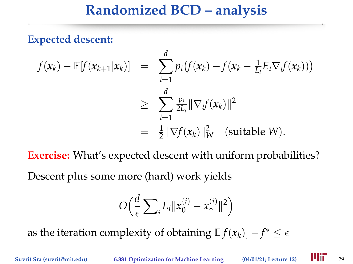**Expected descent:**

$$
f(\mathbf{x}_k) - \mathbb{E}[f(\mathbf{x}_{k+1}|\mathbf{x}_k)] = \sum_{i=1}^d p_i (f(\mathbf{x}_k) - f(\mathbf{x}_k - \frac{1}{L_i} E_i \nabla_i f(\mathbf{x}_k)))
$$
  
\n
$$
\geq \sum_{i=1}^d \frac{p_i}{2L_i} ||\nabla_i f(\mathbf{x}_k)||^2
$$
  
\n
$$
= \frac{1}{2} ||\nabla f(\mathbf{x}_k)||_W^2 \quad \text{(suitable } W).
$$

**Exercise:** What's expected descent with uniform probabilities?

Descent plus some more (hard) work yields

$$
O\Big(\frac{d}{\epsilon}\sum_i L_i \|x_0^{(i)} - x_*^{(i)}\|^2\Big)
$$

as the iteration complexity of obtaining  $\mathbb{E}[f(\mathbf{x}_k)] - f^* \leq \epsilon$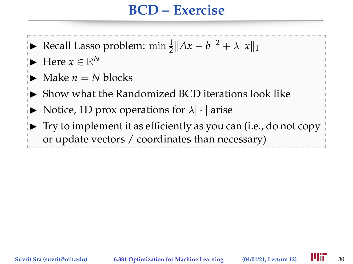#### **BCD – Exercise**

- Recall Lasso problem:  $\min \frac{1}{2} ||Ax b||^2 + \lambda ||x||_1$
- $\blacktriangleright$  Here  $x \in \mathbb{R}^N$
- Make  $n = N$  blocks
- Show what the Randomized BCD iterations look like
- $\blacktriangleright$  Notice, 1D prox operations for  $\lambda|\cdot|$  arise
- $\triangleright$  Try to implement it as efficiently as you can (i.e., do not copy or update vectors / coordinates than necessary)

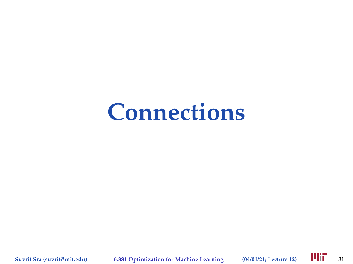# **Connections**

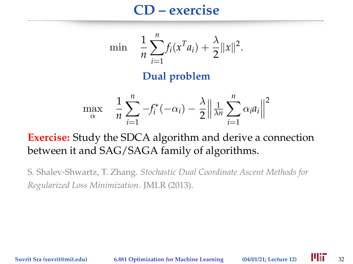#### **CD – exercise**

$$
\min \quad \frac{1}{n} \sum_{i=1}^{n} f_i(x^T a_i) + \frac{\lambda}{2} ||x||^2.
$$

#### **Dual problem**

$$
\max_{\alpha} \quad \frac{1}{n} \sum_{i=1}^{n} -f_i^*(-\alpha_i) - \frac{\lambda}{2} \left\| \frac{1}{\lambda n} \sum_{i=1}^{n} \alpha_i a_i \right\|^2
$$

#### **Exercise:** Study the SDCA algorithm and derive a connection between it and SAG/SAGA family of algorithms.

S. Shalev-Shwartz, T. Zhang. *Stochastic Dual Coordinate Ascent Methods for Regularized Loss Minimization*. JMLR (2013).